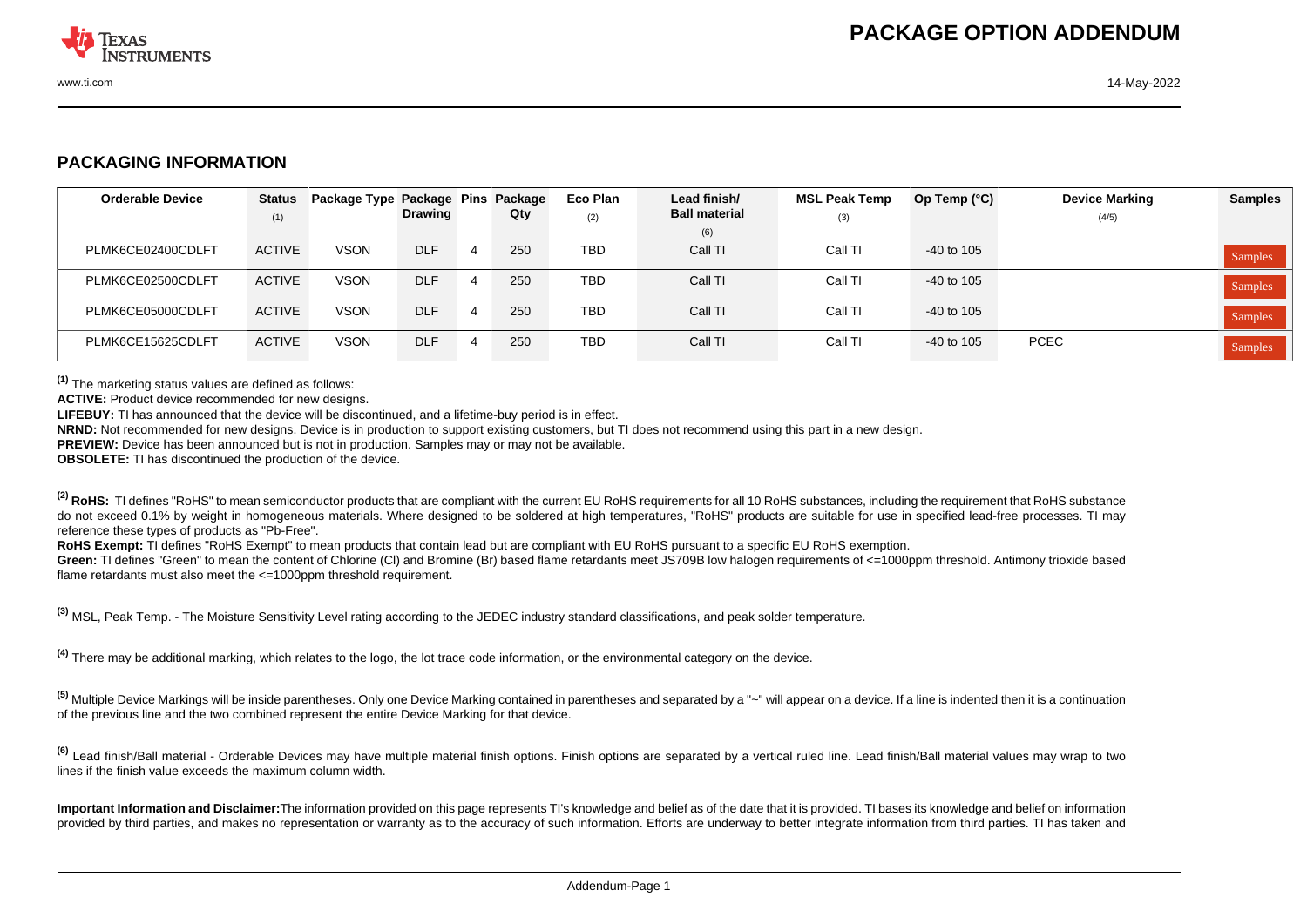

## **PACKAGING INFORMATION**

| <b>Orderable Device</b> | <b>Status</b><br>(1) | Package Type Package Pins Package | <b>Drawing</b> | Qty | Eco Plan<br>(2) | Lead finish/<br><b>Ball material</b> | <b>MSL Peak Temp</b><br>(3) | Op Temp $(^{\circ}C)$ | <b>Device Marking</b><br>(4/5) | <b>Samples</b> |
|-------------------------|----------------------|-----------------------------------|----------------|-----|-----------------|--------------------------------------|-----------------------------|-----------------------|--------------------------------|----------------|
|                         |                      |                                   |                |     |                 | (6)                                  |                             |                       |                                |                |
| PLMK6CE02400CDLFT       | <b>ACTIVE</b>        | <b>VSON</b>                       | <b>DLF</b>     | 250 | <b>TBD</b>      | Call TI                              | Call TI                     | -40 to 105            |                                | <b>Samples</b> |
| PLMK6CE02500CDLFT       | <b>ACTIVE</b>        | <b>VSON</b>                       | <b>DLF</b>     | 250 | <b>TBD</b>      | Call TI                              | Call TI                     | -40 to 105            |                                | <b>Samples</b> |
| PLMK6CE05000CDLFT       | <b>ACTIVE</b>        | <b>VSON</b>                       | <b>DLF</b>     | 250 | <b>TBD</b>      | Call TI                              | Call TI                     | -40 to 105            |                                | <b>Samples</b> |
| PLMK6CE15625CDLFT       | <b>ACTIVE</b>        | <b>VSON</b>                       | <b>DLF</b>     | 250 | <b>TBD</b>      | Call TI                              | Call TI                     | $-40$ to 105          | <b>PCEC</b>                    | Samples        |

**(1)** The marketing status values are defined as follows:

**ACTIVE:** Product device recommended for new designs.

**LIFEBUY:** TI has announced that the device will be discontinued, and a lifetime-buy period is in effect.

**NRND:** Not recommended for new designs. Device is in production to support existing customers, but TI does not recommend using this part in a new design.

**PREVIEW:** Device has been announced but is not in production. Samples may or may not be available.

**OBSOLETE:** TI has discontinued the production of the device.

<sup>(2)</sup> RoHS: TI defines "RoHS" to mean semiconductor products that are compliant with the current EU RoHS requirements for all 10 RoHS substances, including the requirement that RoHS substance do not exceed 0.1% by weight in homogeneous materials. Where designed to be soldered at high temperatures, "RoHS" products are suitable for use in specified lead-free processes. TI may reference these types of products as "Pb-Free".

RoHS Exempt: TI defines "RoHS Exempt" to mean products that contain lead but are compliant with EU RoHS pursuant to a specific EU RoHS exemption.

Green: TI defines "Green" to mean the content of Chlorine (CI) and Bromine (Br) based flame retardants meet JS709B low halogen requirements of <=1000ppm threshold. Antimony trioxide based flame retardants must also meet the  $\leq 1000$ ppm threshold requirement.

**(3)** MSL, Peak Temp. - The Moisture Sensitivity Level rating according to the JEDEC industry standard classifications, and peak solder temperature.

**(4)** There may be additional marking, which relates to the logo, the lot trace code information, or the environmental category on the device.

**(5)** Multiple Device Markings will be inside parentheses. Only one Device Marking contained in parentheses and separated by a "~" will appear on a device. If a line is indented then it is a continuation of the previous line and the two combined represent the entire Device Marking for that device.

<sup>(6)</sup> Lead finish/Ball material - Orderable Devices may have multiple material finish options. Finish options are separated by a vertical ruled line. Lead finish/Ball material values may wrap to two lines if the finish value exceeds the maximum column width.

**Important Information and Disclaimer:**The information provided on this page represents TI's knowledge and belief as of the date that it is provided. TI bases its knowledge and belief on information provided by third parties, and makes no representation or warranty as to the accuracy of such information. Efforts are underway to better integrate information from third parties. TI has taken and